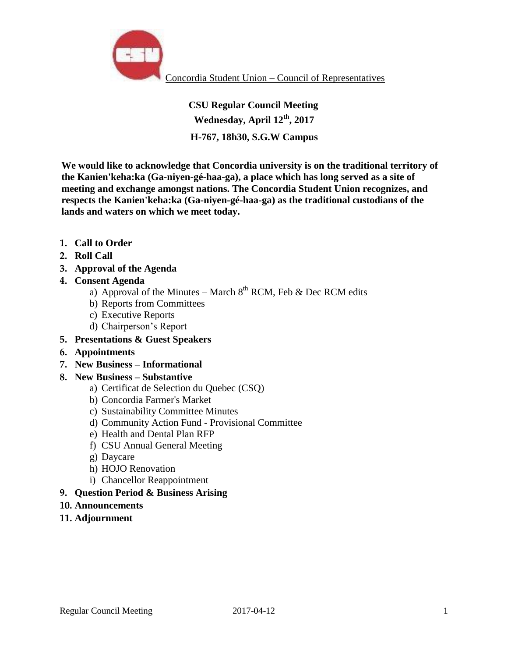

# **CSU Regular Council Meeting Wednesday, April 12th, 2017 H-767, 18h30, S.G.W Campus**

**We would like to acknowledge that Concordia university is on the traditional territory of the Kanien'keha:ka (Ga-niyen-gé-haa-ga), a place which has long served as a site of meeting and exchange amongst nations. The Concordia Student Union recognizes, and respects the Kanien'keha:ka (Ga-niyen-gé-haa-ga) as the traditional custodians of the lands and waters on which we meet today.** 

- **1. Call to Order**
- **2. Roll Call**
- **3. Approval of the Agenda**
- **4. Consent Agenda** 
	- a) Approval of the Minutes March  $8<sup>th</sup>$  RCM, Feb & Dec RCM edits
	- b) Reports from Committees
	- c) Executive Reports
	- d) Chairperson's Report
- **5. Presentations & Guest Speakers**
- **6. Appointments**
- **7. New Business – Informational**

# **8. New Business – Substantive**

- a) Certificat de Selection du Quebec (CSQ)
- b) Concordia Farmer's Market
- c) Sustainability Committee Minutes
- d) Community Action Fund Provisional Committee
- e) Health and Dental Plan RFP
- f) CSU Annual General Meeting
- g) Daycare
- h) HOJO Renovation
- i) Chancellor Reappointment

# **9. Question Period & Business Arising**

- **10. Announcements**
- **11. Adjournment**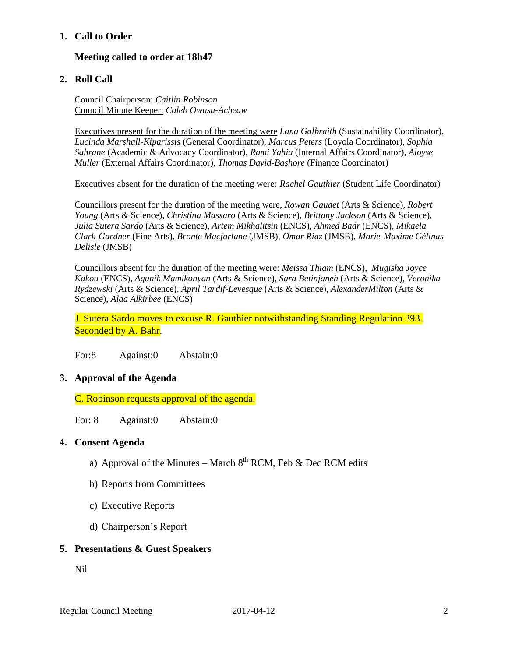## **1. Call to Order**

## **Meeting called to order at 18h47**

#### **2. Roll Call**

Council Chairperson: *Caitlin Robinson* Council Minute Keeper: *Caleb Owusu-Acheaw*

Executives present for the duration of the meeting were *Lana Galbraith* (Sustainability Coordinator), *Lucinda Marshall-Kiparissis* (General Coordinator), *Marcus Peters* (Loyola Coordinator), *Sophia Sahrane* (Academic & Advocacy Coordinator), *Rami Yahia* (Internal Affairs Coordinator), *Aloyse Muller* (External Affairs Coordinator)*, Thomas David-Bashore* (Finance Coordinator)

Executives absent for the duration of the meeting were*: Rachel Gauthier* (Student Life Coordinator)

Councillors present for the duration of the meeting were, *Rowan Gaudet* (Arts & Science)*, Robert Young* (Arts & Science)*, Christina Massaro* (Arts & Science), *Brittany Jackson* (Arts & Science), *Julia Sutera Sardo* (Arts & Science)*, Artem Mikhalitsin* (ENCS), *Ahmed Badr* (ENCS), *Mikaela Clark-Gardner* (Fine Arts), *Bronte Macfarlane* (JMSB), *Omar Riaz* (JMSB), *Marie-Maxime Gélinas-Delisle* (JMSB)

Councillors absent for the duration of the meeting were: *Meissa Thiam* (ENCS), *Mugisha Joyce Kakou* (ENCS)*, Agunik Mamikonyan* (Arts & Science), *Sara Betinjaneh* (Arts & Science)*, Veronika Rydzewski* (Arts & Science)*, April Tardif-Levesque* (Arts & Science)*, AlexanderMilton* (Arts & Science), *Alaa Alkirbee* (ENCS)

J. Sutera Sardo moves to excuse R. Gauthier notwithstanding Standing Regulation 393. Seconded by A. Bahr.

For:8 Against:0 Abstain:0

#### **3. Approval of the Agenda**

C. Robinson requests approval of the agenda.

For: 8 Against: 0 Abstain: 0

#### **4. Consent Agenda**

- a) Approval of the Minutes March  $8<sup>th</sup>$  RCM, Feb & Dec RCM edits
- b) Reports from Committees
- c) Executive Reports
- d) Chairperson's Report

#### **5. Presentations & Guest Speakers**

Nil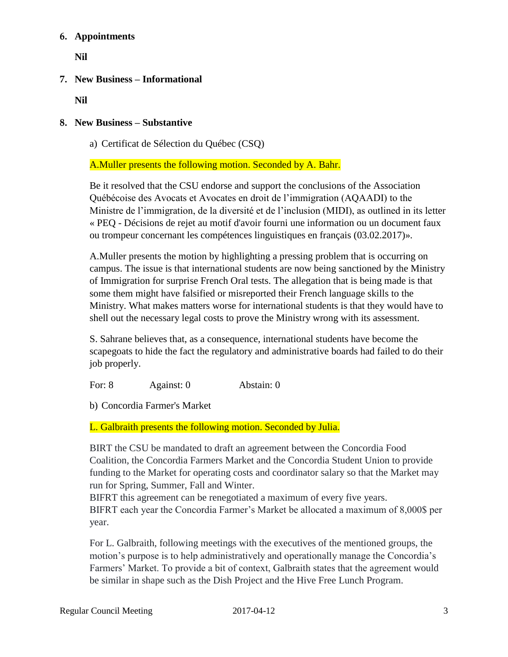# **6. Appointments**

**Nil**

# **7. New Business – Informational**

**Nil**

# **8. New Business – Substantive**

a) Certificat de Sélection du Québec (CSQ)

A.Muller presents the following motion. Seconded by A. Bahr.

Be it resolved that the CSU endorse and support the conclusions of the Association Québécoise des Avocats et Avocates en droit de l'immigration (AQAADI) to the Ministre de l'immigration, de la diversité et de l'inclusion (MIDI), as outlined in its letter « PEQ - Décisions de rejet au motif d'avoir fourni une information ou un document faux ou trompeur concernant les compétences linguistiques en français (03.02.2017)».

A.Muller presents the motion by highlighting a pressing problem that is occurring on campus. The issue is that international students are now being sanctioned by the Ministry of Immigration for surprise French Oral tests. The allegation that is being made is that some them might have falsified or misreported their French language skills to the Ministry. What makes matters worse for international students is that they would have to shell out the necessary legal costs to prove the Ministry wrong with its assessment.

S. Sahrane believes that, as a consequence, international students have become the scapegoats to hide the fact the regulatory and administrative boards had failed to do their job properly.

For: 8 Against: 0 Abstain: 0

b) Concordia Farmer's Market

L. Galbraith presents the following motion. Seconded by Julia.

BIRT the CSU be mandated to draft an agreement between the Concordia Food Coalition, the Concordia Farmers Market and the Concordia Student Union to provide funding to the Market for operating costs and coordinator salary so that the Market may run for Spring, Summer, Fall and Winter.

BIFRT this agreement can be renegotiated a maximum of every five years. BIFRT each year the Concordia Farmer's Market be allocated a maximum of 8,000\$ per year.

For L. Galbraith, following meetings with the executives of the mentioned groups, the motion's purpose is to help administratively and operationally manage the Concordia's Farmers' Market. To provide a bit of context, Galbraith states that the agreement would be similar in shape such as the Dish Project and the Hive Free Lunch Program.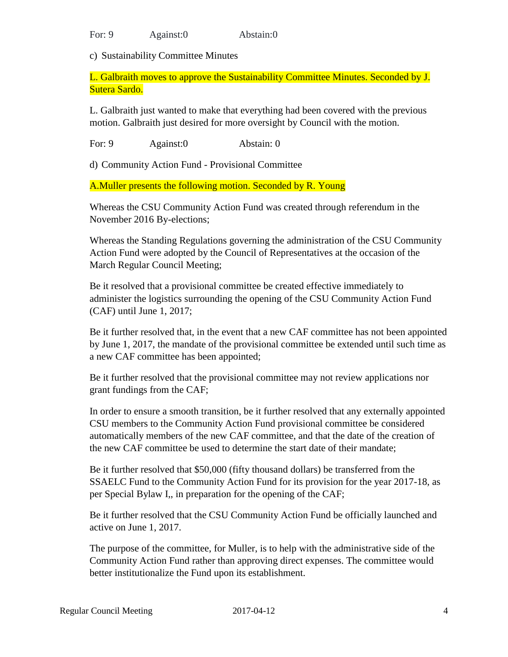For: 9 Against:0 Abstain:0

c) Sustainability Committee Minutes

L. Galbraith moves to approve the Sustainability Committee Minutes. Seconded by J. Sutera Sardo.

L. Galbraith just wanted to make that everything had been covered with the previous motion. Galbraith just desired for more oversight by Council with the motion.

For: 9 Against: 0 Abstain: 0

d) Community Action Fund - Provisional Committee

A.Muller presents the following motion. Seconded by R. Young

Whereas the CSU Community Action Fund was created through referendum in the November 2016 By-elections;

Whereas the Standing Regulations governing the administration of the CSU Community Action Fund were adopted by the Council of Representatives at the occasion of the March Regular Council Meeting;

Be it resolved that a provisional committee be created effective immediately to administer the logistics surrounding the opening of the CSU Community Action Fund (CAF) until June 1, 2017;

Be it further resolved that, in the event that a new CAF committee has not been appointed by June 1, 2017, the mandate of the provisional committee be extended until such time as a new CAF committee has been appointed;

Be it further resolved that the provisional committee may not review applications nor grant fundings from the CAF;

In order to ensure a smooth transition, be it further resolved that any externally appointed CSU members to the Community Action Fund provisional committee be considered automatically members of the new CAF committee, and that the date of the creation of the new CAF committee be used to determine the start date of their mandate;

Be it further resolved that \$50,000 (fifty thousand dollars) be transferred from the SSAELC Fund to the Community Action Fund for its provision for the year 2017-18, as per Special Bylaw I,, in preparation for the opening of the CAF;

Be it further resolved that the CSU Community Action Fund be officially launched and active on June 1, 2017.

The purpose of the committee, for Muller, is to help with the administrative side of the Community Action Fund rather than approving direct expenses. The committee would better institutionalize the Fund upon its establishment.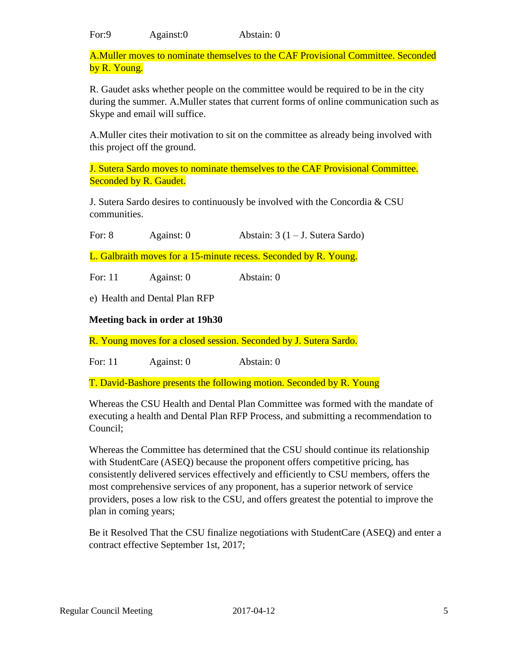For:9 Against:0 Abstain: 0

A.Muller moves to nominate themselves to the CAF Provisional Committee. Seconded by R. Young.

R. Gaudet asks whether people on the committee would be required to be in the city during the summer. A.Muller states that current forms of online communication such as Skype and email will suffice.

A.Muller cites their motivation to sit on the committee as already being involved with this project off the ground.

J. Sutera Sardo moves to nominate themselves to the CAF Provisional Committee. Seconded by R. Gaudet.

J. Sutera Sardo desires to continuously be involved with the Concordia & CSU communities.

For: 8 Against: 0 Abstain: 3 (1 – J. Sutera Sardo)

L. Galbraith moves for a 15-minute recess. Seconded by R. Young.

For: 11 Against: 0 Abstain: 0

e) Health and Dental Plan RFP

**Meeting back in order at 19h30**

R. Young moves for a closed session. Seconded by J. Sutera Sardo.

For: 11 Against: 0 Abstain: 0

T. David-Bashore presents the following motion. Seconded by R. Young

Whereas the CSU Health and Dental Plan Committee was formed with the mandate of executing a health and Dental Plan RFP Process, and submitting a recommendation to Council;

Whereas the Committee has determined that the CSU should continue its relationship with StudentCare (ASEQ) because the proponent offers competitive pricing, has consistently delivered services effectively and efficiently to CSU members, offers the most comprehensive services of any proponent, has a superior network of service providers, poses a low risk to the CSU, and offers greatest the potential to improve the plan in coming years;

Be it Resolved That the CSU finalize negotiations with StudentCare (ASEQ) and enter a contract effective September 1st, 2017;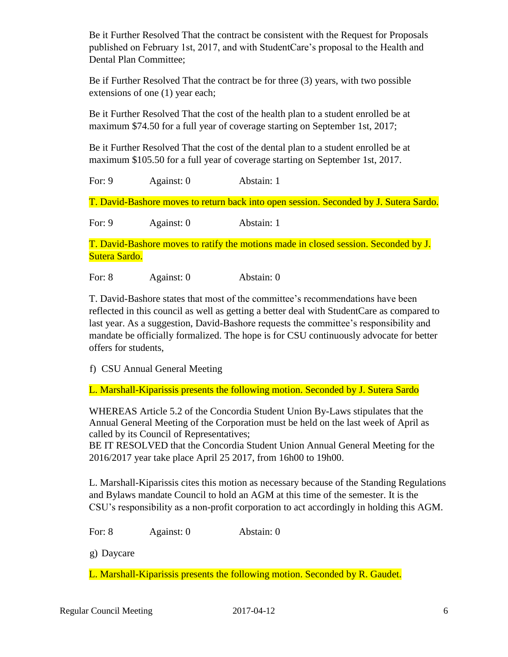Be it Further Resolved That the contract be consistent with the Request for Proposals published on February 1st, 2017, and with StudentCare's proposal to the Health and Dental Plan Committee;

Be if Further Resolved That the contract be for three (3) years, with two possible extensions of one (1) year each;

Be it Further Resolved That the cost of the health plan to a student enrolled be at maximum \$74.50 for a full year of coverage starting on September 1st, 2017;

Be it Further Resolved That the cost of the dental plan to a student enrolled be at maximum \$105.50 for a full year of coverage starting on September 1st, 2017.

For: 9 Against: 0 Abstain: 1

T. David-Bashore moves to return back into open session. Seconded by J. Sutera Sardo.

For: 9 Against: 0 Abstain: 1

T. David-Bashore moves to ratify the motions made in closed session. Seconded by J. Sutera Sardo.

For: 8 Against: 0 Abstain: 0

T. David-Bashore states that most of the committee's recommendations have been reflected in this council as well as getting a better deal with StudentCare as compared to last year. As a suggestion, David-Bashore requests the committee's responsibility and mandate be officially formalized. The hope is for CSU continuously advocate for better offers for students,

f) CSU Annual General Meeting

L. Marshall-Kiparissis presents the following motion. Seconded by J. Sutera Sardo

WHEREAS Article 5.2 of the Concordia Student Union By-Laws stipulates that the Annual General Meeting of the Corporation must be held on the last week of April as called by its Council of Representatives;

BE IT RESOLVED that the Concordia Student Union Annual General Meeting for the 2016/2017 year take place April 25 2017, from 16h00 to 19h00.

L. Marshall-Kiparissis cites this motion as necessary because of the Standing Regulations and Bylaws mandate Council to hold an AGM at this time of the semester. It is the CSU's responsibility as a non-profit corporation to act accordingly in holding this AGM.

For: 8 Against: 0 Abstain: 0

g) Daycare

L. Marshall-Kiparissis presents the following motion. Seconded by R. Gaudet.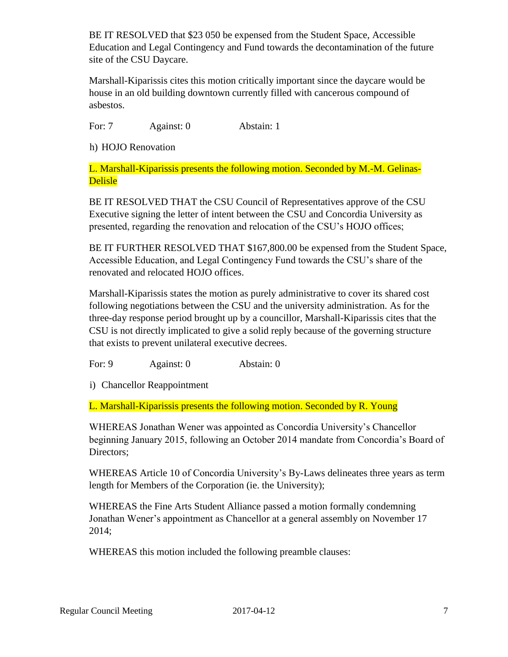BE IT RESOLVED that \$23 050 be expensed from the Student Space, Accessible Education and Legal Contingency and Fund towards the decontamination of the future site of the CSU Daycare.

Marshall-Kiparissis cites this motion critically important since the daycare would be house in an old building downtown currently filled with cancerous compound of asbestos.

For: 7 Against: 0 Abstain: 1

h) HOJO Renovation

L. Marshall-Kiparissis presents the following motion. Seconded by M.-M. Gelinas-Delisle

BE IT RESOLVED THAT the CSU Council of Representatives approve of the CSU Executive signing the letter of intent between the CSU and Concordia University as presented, regarding the renovation and relocation of the CSU's HOJO offices;

BE IT FURTHER RESOLVED THAT \$167,800.00 be expensed from the Student Space, Accessible Education, and Legal Contingency Fund towards the CSU's share of the renovated and relocated HOJO offices.

Marshall-Kiparissis states the motion as purely administrative to cover its shared cost following negotiations between the CSU and the university administration. As for the three-day response period brought up by a councillor, Marshall-Kiparissis cites that the CSU is not directly implicated to give a solid reply because of the governing structure that exists to prevent unilateral executive decrees.

For: 9 Against: 0 Abstain: 0

i) Chancellor Reappointment

L. Marshall-Kiparissis presents the following motion. Seconded by R. Young

WHEREAS Jonathan Wener was appointed as Concordia University's Chancellor beginning January 2015, following an October 2014 mandate from Concordia's Board of Directors;

WHEREAS Article 10 of Concordia University's By-Laws delineates three years as term length for Members of the Corporation (ie. the University);

WHEREAS the Fine Arts Student Alliance passed a motion formally condemning Jonathan Wener's appointment as Chancellor at a general assembly on November 17 2014;

WHEREAS this motion included the following preamble clauses: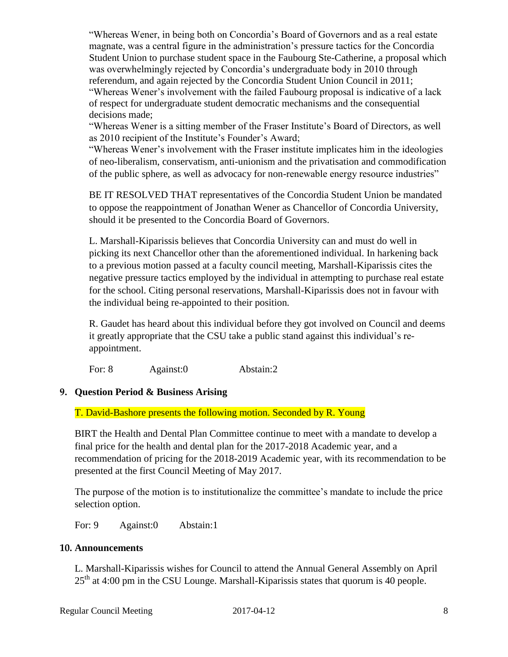"Whereas Wener, in being both on Concordia's Board of Governors and as a real estate magnate, was a central figure in the administration's pressure tactics for the Concordia Student Union to purchase student space in the Faubourg Ste-Catherine, a proposal which was overwhelmingly rejected by Concordia's undergraduate body in 2010 through referendum, and again rejected by the Concordia Student Union Council in 2011; "Whereas Wener's involvement with the failed Faubourg proposal is indicative of a lack of respect for undergraduate student democratic mechanisms and the consequential decisions made;

"Whereas Wener is a sitting member of the Fraser Institute's Board of Directors, as well as 2010 recipient of the Institute's Founder's Award;

"Whereas Wener's involvement with the Fraser institute implicates him in the ideologies of neo-liberalism, conservatism, anti-unionism and the privatisation and commodification of the public sphere, as well as advocacy for non-renewable energy resource industries"

BE IT RESOLVED THAT representatives of the Concordia Student Union be mandated to oppose the reappointment of Jonathan Wener as Chancellor of Concordia University, should it be presented to the Concordia Board of Governors.

L. Marshall-Kiparissis believes that Concordia University can and must do well in picking its next Chancellor other than the aforementioned individual. In harkening back to a previous motion passed at a faculty council meeting, Marshall-Kiparissis cites the negative pressure tactics employed by the individual in attempting to purchase real estate for the school. Citing personal reservations, Marshall-Kiparissis does not in favour with the individual being re-appointed to their position.

R. Gaudet has heard about this individual before they got involved on Council and deems it greatly appropriate that the CSU take a public stand against this individual's reappointment.

For: 8 Against: 0 Abstain: 2

# **9. Question Period & Business Arising**

T. David-Bashore presents the following motion. Seconded by R. Young

BIRT the Health and Dental Plan Committee continue to meet with a mandate to develop a final price for the health and dental plan for the 2017-2018 Academic year, and a recommendation of pricing for the 2018-2019 Academic year, with its recommendation to be presented at the first Council Meeting of May 2017.

The purpose of the motion is to institutionalize the committee's mandate to include the price selection option.

For: 9 Against: 0 Abstain: 1

# **10. Announcements**

L. Marshall-Kiparissis wishes for Council to attend the Annual General Assembly on April  $25<sup>th</sup>$  at 4:00 pm in the CSU Lounge. Marshall-Kiparissis states that quorum is 40 people.